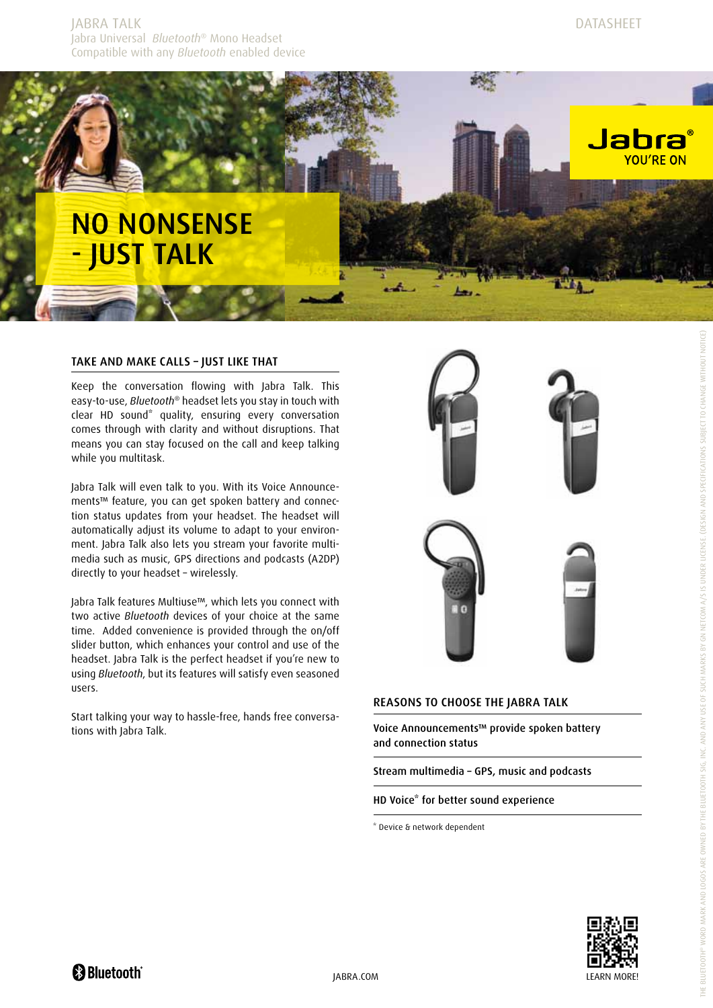

# Take and make calls – just like that

Keep the conversation flowing with Jabra Talk. This easy-to-use, *Bluetooth*® headset lets you stay in touch with clear HD sound<sup>\*</sup> quality, ensuring every conversation comes through with clarity and without disruptions. That means you can stay focused on the call and keep talking while you multitask.

Jabra Talk will even talk to you. With its Voice Announcements™ feature, you can get spoken battery and connection status updates from your headset. The headset will automatically adjust its volume to adapt to your environment. Jabra Talk also lets you stream your favorite multimedia such as music, GPS directions and podcasts (A2DP) directly to your headset – wirelessly.

Jabra Talk features Multiuse™, which lets you connect with two active *Bluetooth* devices of your choice at the same time. Added convenience is provided through the on/off slider button, which enhances your control and use of the headset. Jabra Talk is the perfect headset if you're new to using *Bluetooth*, but its features will satisfy even seasoned users.

Start talking your way to hassle-free, hands free conversations with Jabra Talk.



## Reasons to choose the Jabra TALK

Voice Announcements™ provide spoken battery and connection status

Stream multimedia – GPS, music and podcasts

HD Voice\* for better sound experience

\* Device & network dependent